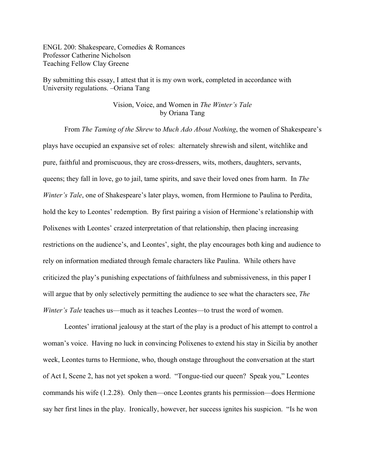ENGL 200: Shakespeare, Comedies & Romances Professor Catherine Nicholson Teaching Fellow Clay Greene

By submitting this essay, I attest that it is my own work, completed in accordance with University regulations. –Oriana Tang

## Vision, Voice, and Women in *The Winter's Tale* by Oriana Tang

From *The Taming of the Shrew* to *Much Ado About Nothing*, the women of Shakespeare's plays have occupied an expansive set of roles: alternately shrewish and silent, witchlike and pure, faithful and promiscuous, they are cross-dressers, wits, mothers, daughters, servants, queens; they fall in love, go to jail, tame spirits, and save their loved ones from harm. In *The Winter's Tale*, one of Shakespeare's later plays, women, from Hermione to Paulina to Perdita, hold the key to Leontes' redemption. By first pairing a vision of Hermione's relationship with Polixenes with Leontes' crazed interpretation of that relationship, then placing increasing restrictions on the audience's, and Leontes', sight, the play encourages both king and audience to rely on information mediated through female characters like Paulina. While others have criticized the play's punishing expectations of faithfulness and submissiveness, in this paper I will argue that by only selectively permitting the audience to see what the characters see, *The Winter's Tale* teaches us—much as it teaches Leontes—to trust the word of women.

Leontes' irrational jealousy at the start of the play is a product of his attempt to control a woman's voice. Having no luck in convincing Polixenes to extend his stay in Sicilia by another week, Leontes turns to Hermione, who, though onstage throughout the conversation at the start of Act I, Scene 2, has not yet spoken a word. "Tongue-tied our queen? Speak you," Leontes commands his wife (1.2.28). Only then—once Leontes grants his permission—does Hermione say her first lines in the play. Ironically, however, her success ignites his suspicion. "Is he won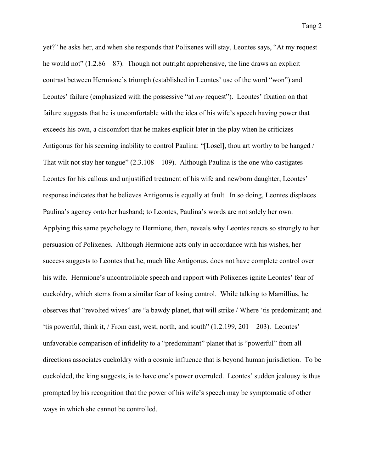yet?" he asks her, and when she responds that Polixenes will stay, Leontes says, "At my request he would not"  $(1.2.86 - 87)$ . Though not outright apprehensive, the line draws an explicit contrast between Hermione's triumph (established in Leontes' use of the word "won") and Leontes' failure (emphasized with the possessive "at *my* request"). Leontes' fixation on that failure suggests that he is uncomfortable with the idea of his wife's speech having power that exceeds his own, a discomfort that he makes explicit later in the play when he criticizes Antigonus for his seeming inability to control Paulina: "[Losel], thou art worthy to be hanged / That wilt not stay her tongue"  $(2.3.108 - 109)$ . Although Paulina is the one who castigates Leontes for his callous and unjustified treatment of his wife and newborn daughter, Leontes' response indicates that he believes Antigonus is equally at fault. In so doing, Leontes displaces Paulina's agency onto her husband; to Leontes, Paulina's words are not solely her own. Applying this same psychology to Hermione, then, reveals why Leontes reacts so strongly to her persuasion of Polixenes. Although Hermione acts only in accordance with his wishes, her success suggests to Leontes that he, much like Antigonus, does not have complete control over his wife. Hermione's uncontrollable speech and rapport with Polixenes ignite Leontes' fear of cuckoldry, which stems from a similar fear of losing control. While talking to Mamillius, he observes that "revolted wives" are "a bawdy planet, that will strike / Where 'tis predominant; and 'tis powerful, think it, / From east, west, north, and south" (1.2.199, 201 – 203). Leontes' unfavorable comparison of infidelity to a "predominant" planet that is "powerful" from all directions associates cuckoldry with a cosmic influence that is beyond human jurisdiction. To be cuckolded, the king suggests, is to have one's power overruled. Leontes' sudden jealousy is thus prompted by his recognition that the power of his wife's speech may be symptomatic of other ways in which she cannot be controlled.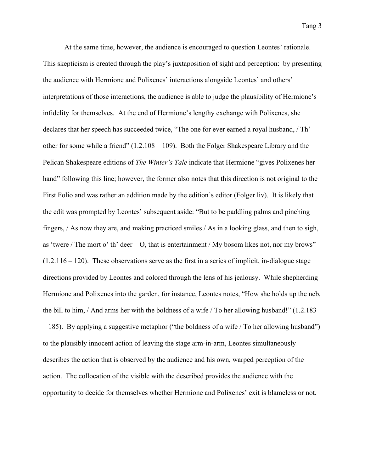At the same time, however, the audience is encouraged to question Leontes' rationale. This skepticism is created through the play's juxtaposition of sight and perception: by presenting the audience with Hermione and Polixenes' interactions alongside Leontes' and others' interpretations of those interactions, the audience is able to judge the plausibility of Hermione's infidelity for themselves. At the end of Hermione's lengthy exchange with Polixenes, she declares that her speech has succeeded twice, "The one for ever earned a royal husband, / Th' other for some while a friend" (1.2.108 – 109). Both the Folger Shakespeare Library and the Pelican Shakespeare editions of *The Winter's Tale* indicate that Hermione "gives Polixenes her hand" following this line; however, the former also notes that this direction is not original to the First Folio and was rather an addition made by the edition's editor (Folger liv). It is likely that the edit was prompted by Leontes' subsequent aside: "But to be paddling palms and pinching fingers, / As now they are, and making practiced smiles / As in a looking glass, and then to sigh, as 'twere / The mort o' th' deer—O, that is entertainment / My bosom likes not, nor my brows"  $(1.2.116 - 120)$ . These observations serve as the first in a series of implicit, in-dialogue stage directions provided by Leontes and colored through the lens of his jealousy. While shepherding Hermione and Polixenes into the garden, for instance, Leontes notes, "How she holds up the neb, the bill to him, / And arms her with the boldness of a wife / To her allowing husband!" (1.2.183 – 185). By applying a suggestive metaphor ("the boldness of a wife / To her allowing husband") to the plausibly innocent action of leaving the stage arm-in-arm, Leontes simultaneously describes the action that is observed by the audience and his own, warped perception of the action. The collocation of the visible with the described provides the audience with the opportunity to decide for themselves whether Hermione and Polixenes' exit is blameless or not.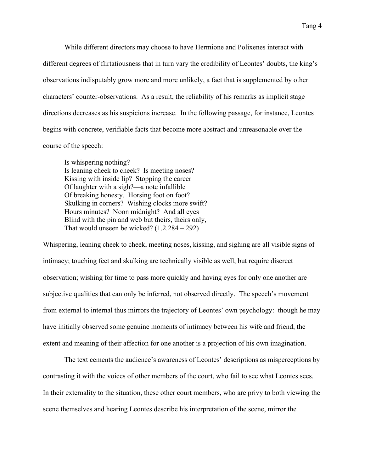While different directors may choose to have Hermione and Polixenes interact with different degrees of flirtatiousness that in turn vary the credibility of Leontes' doubts, the king's observations indisputably grow more and more unlikely, a fact that is supplemented by other characters' counter-observations. As a result, the reliability of his remarks as implicit stage directions decreases as his suspicions increase. In the following passage, for instance, Leontes begins with concrete, verifiable facts that become more abstract and unreasonable over the course of the speech:

Is whispering nothing? Is leaning cheek to cheek? Is meeting noses? Kissing with inside lip? Stopping the career Of laughter with a sigh?—a note infallible Of breaking honesty. Horsing foot on foot? Skulking in corners? Wishing clocks more swift? Hours minutes? Noon midnight? And all eyes Blind with the pin and web but theirs, theirs only, That would unseen be wicked?  $(1.2.284 - 292)$ 

Whispering, leaning cheek to cheek, meeting noses, kissing, and sighing are all visible signs of intimacy; touching feet and skulking are technically visible as well, but require discreet observation; wishing for time to pass more quickly and having eyes for only one another are subjective qualities that can only be inferred, not observed directly. The speech's movement from external to internal thus mirrors the trajectory of Leontes' own psychology: though he may have initially observed some genuine moments of intimacy between his wife and friend, the extent and meaning of their affection for one another is a projection of his own imagination.

The text cements the audience's awareness of Leontes' descriptions as misperceptions by contrasting it with the voices of other members of the court, who fail to see what Leontes sees. In their externality to the situation, these other court members, who are privy to both viewing the scene themselves and hearing Leontes describe his interpretation of the scene, mirror the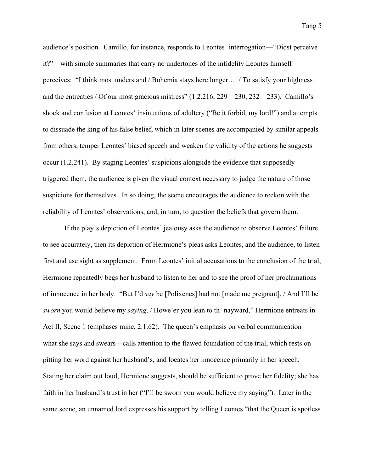audience's position. Camillo, for instance, responds to Leontes' interrogation—"Didst perceive it?"—with simple summaries that carry no undertones of the infidelity Leontes himself perceives: "I think most understand / Bohemia stays here longer…. / To satisfy your highness and the entreaties / Of our most gracious mistress"  $(1.2.216, 229 - 230, 232 - 233)$ . Camillo's shock and confusion at Leontes' insinuations of adultery ("Be it forbid, my lord!") and attempts to dissuade the king of his false belief, which in later scenes are accompanied by similar appeals from others, temper Leontes' biased speech and weaken the validity of the actions he suggests occur (1.2.241). By staging Leontes' suspicions alongside the evidence that supposedly triggered them, the audience is given the visual context necessary to judge the nature of those suspicions for themselves. In so doing, the scene encourages the audience to reckon with the reliability of Leontes' observations, and, in turn, to question the beliefs that govern them.

If the play's depiction of Leontes' jealousy asks the audience to observe Leontes' failure to see accurately, then its depiction of Hermione's pleas asks Leontes, and the audience, to listen first and use sight as supplement. From Leontes' initial accusations to the conclusion of the trial, Hermione repeatedly begs her husband to listen to her and to see the proof of her proclamations of innocence in her body. "But I'd *say* he [Polixenes] had not [made me pregnant], / And I'll be *sworn* you would believe my *saying*, / Howe'er you lean to th' nayward," Hermione entreats in Act II, Scene 1 (emphases mine, 2.1.62). The queen's emphasis on verbal communication what she says and swears—calls attention to the flawed foundation of the trial, which rests on pitting her word against her husband's, and locates her innocence primarily in her speech. Stating her claim out loud, Hermione suggests, should be sufficient to prove her fidelity; she has faith in her husband's trust in her ("I'll be sworn you would believe my saying"). Later in the same scene, an unnamed lord expresses his support by telling Leontes "that the Queen is spotless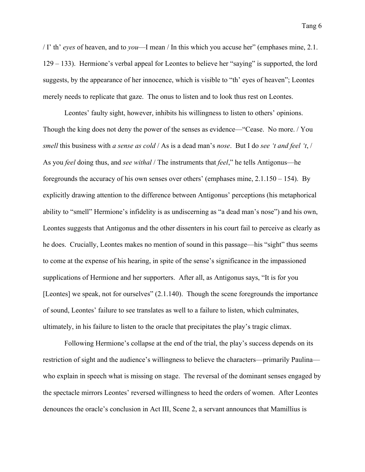/ I' th' *eyes* of heaven, and to *you*—I mean / In this which you accuse her" (emphases mine, 2.1. 129 – 133). Hermione's verbal appeal for Leontes to believe her "saying" is supported, the lord suggests, by the appearance of her innocence, which is visible to "th' eyes of heaven"; Leontes merely needs to replicate that gaze. The onus to listen and to look thus rest on Leontes.

Leontes' faulty sight, however, inhibits his willingness to listen to others' opinions. Though the king does not deny the power of the senses as evidence—"Cease. No more. / You *smell* this business with *a sense as cold* / As is a dead man's *nose*. But I do *see 't and feel 't*, / As you *feel* doing thus, and *see withal* / The instruments that *feel*," he tells Antigonus—he foregrounds the accuracy of his own senses over others' (emphases mine, 2.1.150 – 154). By explicitly drawing attention to the difference between Antigonus' perceptions (his metaphorical ability to "smell" Hermione's infidelity is as undiscerning as "a dead man's nose") and his own, Leontes suggests that Antigonus and the other dissenters in his court fail to perceive as clearly as he does. Crucially, Leontes makes no mention of sound in this passage—his "sight" thus seems to come at the expense of his hearing, in spite of the sense's significance in the impassioned supplications of Hermione and her supporters. After all, as Antigonus says, "It is for you [Leontes] we speak, not for ourselves" (2.1.140). Though the scene foregrounds the importance of sound, Leontes' failure to see translates as well to a failure to listen, which culminates, ultimately, in his failure to listen to the oracle that precipitates the play's tragic climax.

Following Hermione's collapse at the end of the trial, the play's success depends on its restriction of sight and the audience's willingness to believe the characters—primarily Paulina who explain in speech what is missing on stage. The reversal of the dominant senses engaged by the spectacle mirrors Leontes' reversed willingness to heed the orders of women. After Leontes denounces the oracle's conclusion in Act III, Scene 2, a servant announces that Mamillius is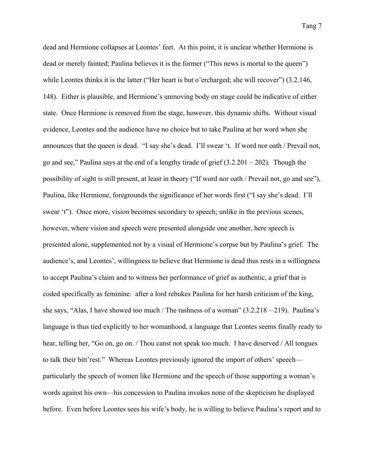dead and Hermione collapses at Leontes' feet. At this point, it is unclear whether Hermione is dead or merely fainted; Paulina believes it is the former ("This news is mortal to the queen") while Leontes thinks it is the latter ("Her heart is but o'ercharged; she will recover") (3.2.146, 148). Either is plausible, and Hermione's unmoving body on stage could be indicative of either state. Once Hermione is removed from the stage, however, this dynamic shifts. Without visual evidence, Leontes and the audience have no choice but to take Paulina at her word when she announces that the queen is dead. "I say she's dead. I'll swear 't. If word nor oath / Prevail not, go and see," Paulina says at the end of a lengthy tirade of grief  $(3.2.201 - 202)$ . Though the possibility of sight is still present, at least in theory ("If word nor oath / Prevail not, go and see"), Paulina, like Hermione, foregrounds the significance of her words first ("I say she's dead. I'll swear 't"). Once more, vision becomes secondary to speech; unlike in the previous scenes, however, where vision and speech were presented alongside one another, here speech is presented alone, supplemented not by a visual of Hermione's corpse but by Paulina's grief. The audience's, and Leontes', willingness to believe that Hermione is dead thus rests in a willingness to accept Paulina's claim and to witness her performance of grief as authentic, a grief that is coded specifically as feminine: after a lord rebukes Paulina for her harsh criticism of the king, she says, "Alas, I have showed too much / The rashness of a woman"  $(3.2.218 - 219)$ . Paulina's language is thus tied explicitly to her womanhood, a language that Leontes seems finally ready to hear, telling her, "Go on, go on. / Thou canst not speak too much. I have deserved / All tongues to talk their bitt'rest." Whereas Leontes previously ignored the import of others' speech particularly the speech of women like Hermione and the speech of those supporting a woman's words against his own—his concession to Paulina invokes none of the skepticism he displayed before. Even before Leontes sees his wife's body, he is willing to believe Paulina's report and to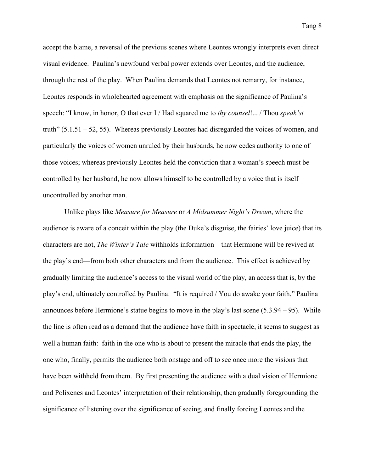Tang 8

accept the blame, a reversal of the previous scenes where Leontes wrongly interprets even direct visual evidence. Paulina's newfound verbal power extends over Leontes, and the audience, through the rest of the play. When Paulina demands that Leontes not remarry, for instance, Leontes responds in wholehearted agreement with emphasis on the significance of Paulina's speech: "I know, in honor, O that ever I / Had squared me to *thy counsel*!... / Thou *speak'st* truth" (5.1.51 – 52, 55). Whereas previously Leontes had disregarded the voices of women, and particularly the voices of women unruled by their husbands, he now cedes authority to one of those voices; whereas previously Leontes held the conviction that a woman's speech must be controlled by her husband, he now allows himself to be controlled by a voice that is itself uncontrolled by another man.

Unlike plays like *Measure for Measure* or *A Midsummer Night's Dream*, where the audience is aware of a conceit within the play (the Duke's disguise, the fairies' love juice) that its characters are not, *The Winter's Tale* withholds information—that Hermione will be revived at the play's end—from both other characters and from the audience. This effect is achieved by gradually limiting the audience's access to the visual world of the play, an access that is, by the play's end, ultimately controlled by Paulina. "It is required / You do awake your faith," Paulina announces before Hermione's statue begins to move in the play's last scene (5.3.94 – 95). While the line is often read as a demand that the audience have faith in spectacle, it seems to suggest as well a human faith: faith in the one who is about to present the miracle that ends the play, the one who, finally, permits the audience both onstage and off to see once more the visions that have been withheld from them. By first presenting the audience with a dual vision of Hermione and Polixenes and Leontes' interpretation of their relationship, then gradually foregrounding the significance of listening over the significance of seeing, and finally forcing Leontes and the